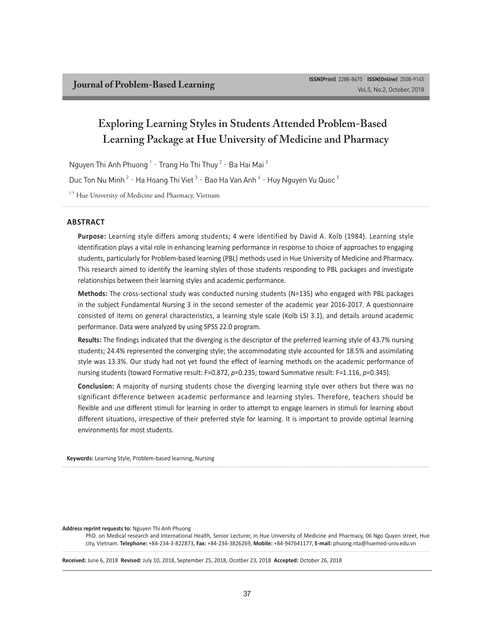# **Exploring Learning Styles in Students Attended Problem-Based Learning Package at Hue University of Medicine and Pharmacy**

Nguyen Thi Anh Phuong  $^1\cdot\,$ Trang Ho Thi Thuy  $^2\cdot\,$ Ba Hai Mai  $^2$ 

Duc Ton Nu Minh  $^2$   $\cdot$  Ha Hoang Thi Viet  $^3$   $\cdot$  Bao Ha Van Anh  $^4$   $\cdot$  Huy Nguyen Vu Quoc  $^5$ 

<sup>1-5</sup> Hue University of Medicine and Pharmacy, Vietnam

#### **ABSTRACT**

**Purpose:** Learning style differs among students; 4 were identified by David A. Kolb (1984). Learning style identification plays a vital role in enhancing learning performance in response to choice of approaches to engaging students, particularly for Problem-based learning (PBL) methods used in Hue University of Medicine and Pharmacy. This research aimed to identify the learning styles of those students responding to PBL packages and investigate relationships between their learning styles and academic performance.

**Methods:** The cross-sectional study was conducted nursing students (N=135) who engaged with PBL packages in the subject Fundamental Nursing 3 in the second semester of the academic year 2016-2017. A questionnaire consisted of items on general characteristics, a learning style scale (Kolb LSI 3.1), and details around academic performance. Data were analyzed by using SPSS 22.0 program.

**Results:** The findings indicated that the diverging is the descriptor of the preferred learning style of 43.7% nursing students; 24.4% represented the converging style; the accommodating style accounted for 18.5% and assimilating style was 13.3%. Our study had not yet found the effect of learning methods on the academic performance of nursing students (toward Formative result: F=0.872, *p*=0.235; toward Summative result: F=1.116, *p*=0.345).

**Conclusion:** A majority of nursing students chose the diverging learning style over others but there was no significant difference between academic performance and learning styles. Therefore, teachers should be flexible and use different stimuli for learning in order to attempt to engage learners in stimuli for learning about different situations, irrespective of their preferred style for learning. It is important to provide optimal learning environments for most students.

**Keywords:** Learning Style, Problem-based learning, Nursing

**Address reprint requests to:** Nguyen Thi Anh Phuong

PhD. on Medical research and International Health, Senior Lecturer, in Hue University of Medicine and Pharmacy, 06 Ngo Quyen street, Hue city, Vietnam. **Telephone:** +84-234-3-822873, **Fax:** +84-234-3826269, **Mobile:** +84-947641177, **E-mail:** phuong.nta@huemed-univ.edu.vn

**Received:** June 6, 2018 **Revised:** July 10, 2018, September 25, 2018, Ocotber 23, 2018 **Accepted:** October 26, 2018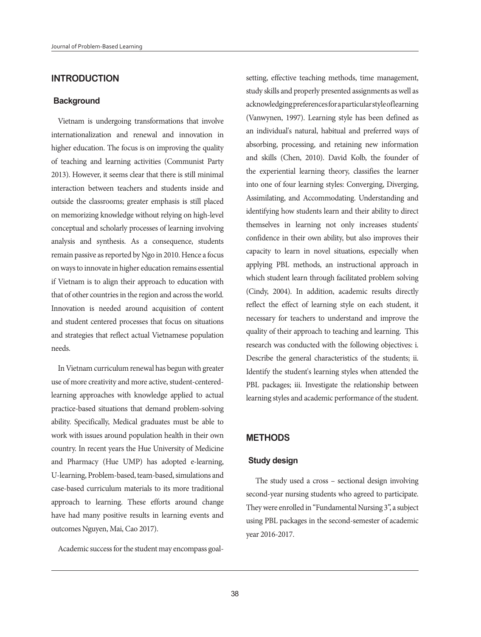# **INTRODUCTION**

#### **Background**

Vietnam is undergoing transformations that involve internationalization and renewal and innovation in higher education. The focus is on improving the quality of teaching and learning activities (Communist Party 2013). However, it seems clear that there is still minimal interaction between teachers and students inside and outside the classrooms; greater emphasis is still placed on memorizing knowledge without relying on high-level conceptual and scholarly processes of learning involving analysis and synthesis. As a consequence, students remain passive as reported by Ngo in 2010. Hence a focus on ways to innovate in higher education remains essential if Vietnam is to align their approach to education with that of other countries in the region and across the world. Innovation is needed around acquisition of content and student centered processes that focus on situations and strategies that reflect actual Vietnamese population needs.

In Vietnam curriculum renewal has begun with greater use of more creativity and more active, student-centeredlearning approaches with knowledge applied to actual practice-based situations that demand problem-solving ability. Specifically, Medical graduates must be able to work with issues around population health in their own country. In recent years the Hue University of Medicine and Pharmacy (Hue UMP) has adopted e-learning, U-learning, Problem-based, team-based, simulations and case-based curriculum materials to its more traditional approach to learning. These efforts around change have had many positive results in learning events and outcomes Nguyen, Mai, Cao 2017).

Academic success for the student may encompass goal-

setting, effective teaching methods, time management, study skills and properly presented assignments as well as acknowledging preferences for a particular style of learning (Vanwynen, 1997). Learning style has been defined as an individual's natural, habitual and preferred ways of absorbing, processing, and retaining new information and skills (Chen, 2010). David Kolb, the founder of the experiential learning theory, classifies the learner into one of four learning styles: Converging, Diverging, Assimilating, and Accommodating. Understanding and identifying how students learn and their ability to direct themselves in learning not only increases students' confidence in their own ability, but also improves their capacity to learn in novel situations, especially when applying PBL methods, an instructional approach in which student learn through facilitated problem solving (Cindy, 2004). In addition, academic results directly reflect the effect of learning style on each student, it necessary for teachers to understand and improve the quality of their approach to teaching and learning. This research was conducted with the following objectives: i. Describe the general characteristics of the students; ii. Identify the student's learning styles when attended the PBL packages; iii. Investigate the relationship between learning styles and academic performance of the student.

## **METHODS**

### **Study design**

 The study used a cross – sectional design involving second-year nursing students who agreed to participate. They were enrolled in "Fundamental Nursing 3", a subject using PBL packages in the second-semester of academic year 2016-2017.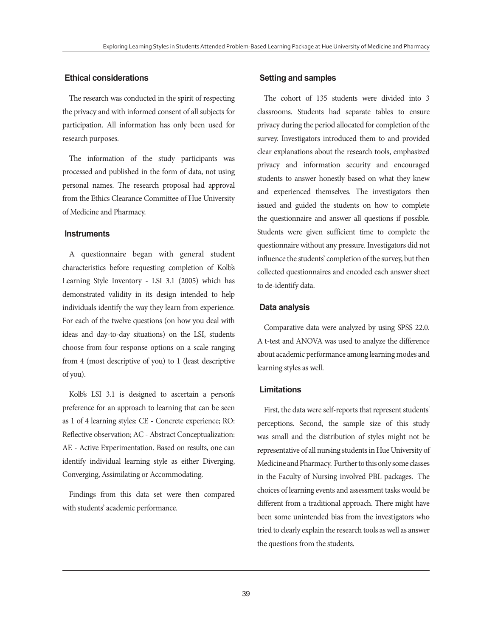## **Ethical considerations**

The research was conducted in the spirit of respecting the privacy and with informed consent of all subjects for participation. All information has only been used for research purposes.

The information of the study participants was processed and published in the form of data, not using personal names. The research proposal had approval from the Ethics Clearance Committee of Hue University of Medicine and Pharmacy.

## **Instruments**

A questionnaire began with general student characteristics before requesting completion of Kolb's Learning Style Inventory - LSI 3.1 (2005) which has demonstrated validity in its design intended to help individuals identify the way they learn from experience. For each of the twelve questions (on how you deal with ideas and day-to-day situations) on the LSI, students choose from four response options on a scale ranging from 4 (most descriptive of you) to 1 (least descriptive of you).

Kolb's LSI 3.1 is designed to ascertain a person's preference for an approach to learning that can be seen as 1 of 4 learning styles: CE - Concrete experience; RO: Reflective observation; AC - Abstract Conceptualization: AE - Active Experimentation. Based on results, one can identify individual learning style as either Diverging, Converging, Assimilating or Accommodating.

Findings from this data set were then compared with students' academic performance.

#### **Setting and samples**

The cohort of 135 students were divided into 3 classrooms. Students had separate tables to ensure privacy during the period allocated for completion of the survey. Investigators introduced them to and provided clear explanations about the research tools, emphasized privacy and information security and encouraged students to answer honestly based on what they knew and experienced themselves. The investigators then issued and guided the students on how to complete the questionnaire and answer all questions if possible. Students were given sufficient time to complete the questionnaire without any pressure. Investigators did not influence the students' completion of the survey, but then collected questionnaires and encoded each answer sheet to de-identify data.

#### **Data analysis**

Comparative data were analyzed by using SPSS 22.0. A t-test and ANOVA was used to analyze the difference about academic performance among learning modes and learning styles as well.

## **Limitations**

First, the data were self-reports that represent students' perceptions. Second, the sample size of this study was small and the distribution of styles might not be representative of all nursing students in Hue University of Medicine and Pharmacy. Further to this only some classes in the Faculty of Nursing involved PBL packages. The choices of learning events and assessment tasks would be different from a traditional approach. There might have been some unintended bias from the investigators who tried to clearly explain the research tools as well as answer the questions from the students.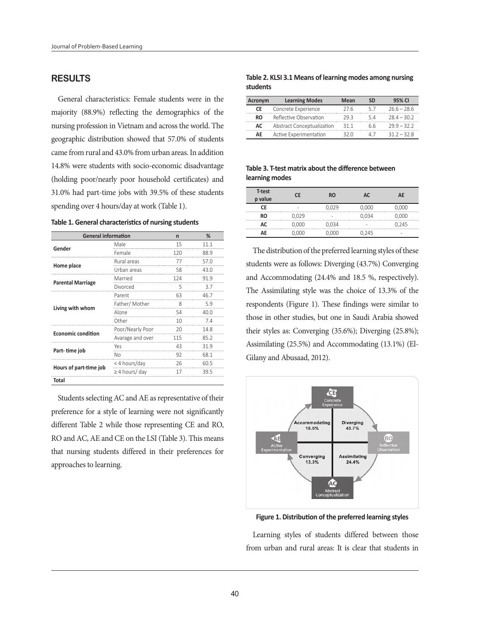## **RESULTS**

General characteristics: Female students were in the majority (88.9%) reflecting the demographics of the nursing profession in Vietnam and across the world. The geographic distribution showed that 57.0% of students came from rural and 43.0% from urban areas. In addition 14.8% were students with socio-economic disadvantage (holding poor/nearly poor household certificates) and 31.0% had part-time jobs with 39.5% of these students spending over 4 hours/day at work (Table 1).

|  |  |  |  | Table 1. General characteristics of nursing students |  |  |  |  |  |
|--|--|--|--|------------------------------------------------------|--|--|--|--|--|
|--|--|--|--|------------------------------------------------------|--|--|--|--|--|

| <b>General information</b> | n                   | %   |      |
|----------------------------|---------------------|-----|------|
| Gender                     | Male                | 15  | 11 1 |
|                            | Female              | 120 | 88.9 |
|                            | Rural areas         | 77  | 57 O |
| Home place                 | Urban areas         | 58  | 43 O |
|                            | Married             | 124 | 919  |
| <b>Parental Marriage</b>   | Divorced            | 5   | 3.7  |
|                            | Parent              | 63  | 46.7 |
| Living with whom           | Father/Mother       | 8   | 59   |
|                            | Alone               | 54  | 40.0 |
|                            | Other               | 10  | 74   |
| <b>Economic condition</b>  | Poor/Nearly Poor    | 20  | 14.8 |
|                            | Avarage and over    | 115 | 85.2 |
|                            | Yes                 | 43  | 319  |
| Part-time job              | No                  | 92  | 68.1 |
|                            | < 4 hours/day       | 26  | 60.5 |
| Hours of part-time job     | $\geq$ 4 hours/ day | 17  | 395  |
| Total                      |                     |     |      |

Students selecting AC and AE as representative of their preference for a style of learning were not significantly different Table 2 while those representing CE and RO, RO and AC, AE and CE on the LSI (Table 3). This means that nursing students differed in their preferences for approaches to learning.

#### **Table 2. KLSI 3.1 Means of learning modes among nursing students**

| Acronym | <b>Learning Modes</b>      | Mean | <b>SD</b> | 95% CI      |
|---------|----------------------------|------|-----------|-------------|
| СE      | Concrete Experience        | 27 R | 57        | $266 - 286$ |
| RO.     | Reflective Observation     | 29 3 | 54        | $284 - 302$ |
| AC.     | Abstract Conceptualization | 31 1 | 66        | $799 - 377$ |
| ΑF      | Active Experimentation     | マン い |           | $312 - 328$ |

**Table 3. T-test matrix about the difference between learning modes** 

| T-test<br>p value | ΓF    | <b>RO</b> | AC.   | AE    |
|-------------------|-------|-----------|-------|-------|
|                   | ۰     | 0.029     | 0,000 | 0,000 |
| RΟ                | 0.029 | -         | 0,034 | 0,000 |
| ۵۲                | 0,000 | 0,034     |       | 0.245 |
| ΔF                | 0,000 | 0.000     | 0,245 | -     |

The distribution of the preferred learning styles of these students were as follows: Diverging (43.7%) Converging and Accommodating (24.4% and 18.5 %, respectively). The Assimilating style was the choice of 13.3% of the respondents (Figure 1). These findings were similar to those in other studies, but one in Saudi Arabia showed their styles as: Converging (35.6%); Diverging (25.8%); Assimilating (25.5%) and Accommodating (13.1%) (El-Gilany and Abusaad, 2012).



**Figure 1. Distribution of the preferred learning styles**

Learning styles of students differed between those from urban and rural areas: It is clear that students in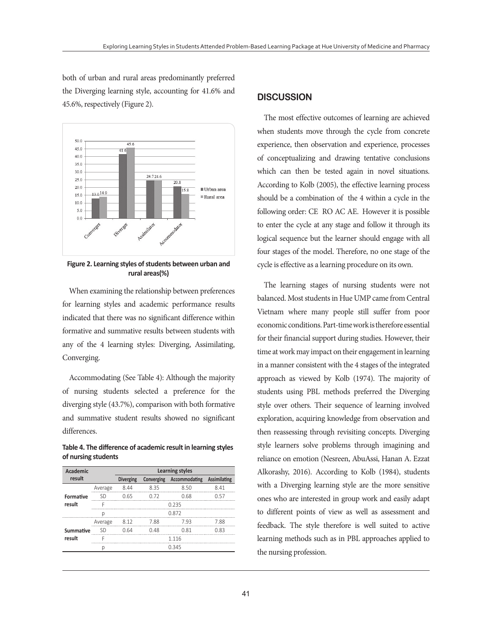both of urban and rural areas predominantly preferred the Diverging learning style, accounting for 41.6% and 45.6%, respectively (Figure 2).



**Figure 2. Learning styles of students between urban and rural areas(%)**

When examining the relationship between preferences for learning styles and academic performance results indicated that there was no significant difference within formative and summative results between students with any of the 4 learning styles: Diverging, Assimilating, Converging.

Accommodating (See Table 4): Although the majority of nursing students selected a preference for the diverging style (43.7%), comparison with both formative and summative student results showed no significant differences.

**Table 4. The difference of academic result in learning styles of nursing students** 

| <b>Academic</b> |         | Learning styles  |      |                                       |      |  |  |
|-----------------|---------|------------------|------|---------------------------------------|------|--|--|
| result          |         | <b>Diverging</b> |      | Converging Accommodating Assimilating |      |  |  |
|                 | Average | 844              | 8.35 | 8.50                                  | 841  |  |  |
| Formative       | ςn      | 0.65             | n 72 | 0.68                                  | በ 57 |  |  |
| result          |         | 0 235            |      |                                       |      |  |  |
|                 |         | 0.872            |      |                                       |      |  |  |
|                 | Average | 8.12             | 7.88 | 793                                   | 788  |  |  |
| Summative       |         | 0.64             | 048  | O 81                                  | በ ጸ3 |  |  |
| result          |         |                  |      | 1 1 1 6                               |      |  |  |
|                 |         |                  |      | 0345                                  |      |  |  |

# **DISCUSSION**

The most effective outcomes of learning are achieved when students move through the cycle from concrete experience, then observation and experience, processes of conceptualizing and drawing tentative conclusions which can then be tested again in novel situations. According to Kolb (2005), the effective learning process should be a combination of the 4 within a cycle in the following order: CE RO AC AE. However it is possible to enter the cycle at any stage and follow it through its logical sequence but the learner should engage with all four stages of the model. Therefore, no one stage of the cycle is effective as a learning procedure on its own.

The learning stages of nursing students were not balanced. Most students in Hue UMP came from Central Vietnam where many people still suffer from poor economic conditions. Part-time work is therefore essential for their financial support during studies. However, their time at work may impact on their engagement in learning in a manner consistent with the 4 stages of the integrated approach as viewed by Kolb (1974). The majority of students using PBL methods preferred the Diverging style over others. Their sequence of learning involved exploration, acquiring knowledge from observation and then reassessing through revisiting concepts. Diverging style learners solve problems through imagining and reliance on emotion (Nesreen, AbuAssi, Hanan A. Ezzat Alkorashy, 2016). According to Kolb (1984), students with a Diverging learning style are the more sensitive ones who are interested in group work and easily adapt to different points of view as well as assessment and feedback. The style therefore is well suited to active learning methods such as in PBL approaches applied to the nursing profession.